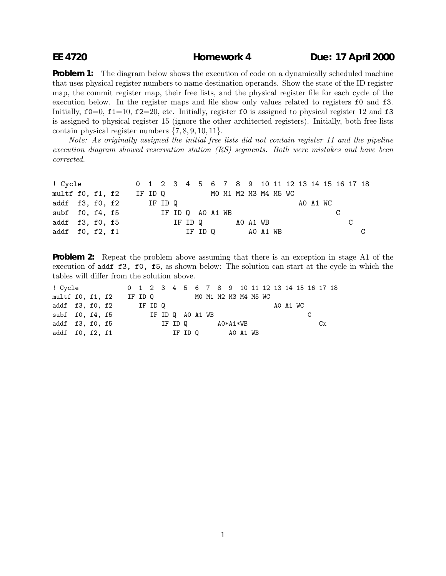## **EE 4720 Homework 4 Due: 17 April 2000**

**Problem 1:** The diagram below shows the execution of code on a dynamically scheduled machine that uses physical register numbers to name destination operands. Show the state of the ID register map, the commit register map, their free lists, and the physical register file for each cycle of the execution below. In the register maps and file show only values related to registers  $f0$  and  $f3$ . Initially,  $f0=0$ ,  $f1=10$ ,  $f2=20$ , etc. Initially, register fo is assigned to physical register 12 and f3 is assigned to physical register 15 (ignore the other architected registers). Initially, both free lists contain physical register numbers {7, 8, 9, 10, 11}.

Note: As originally assigned the initial free lists did not contain register 11 and the pipeline execution diagram showed reservation station (RS) segments. Both were mistakes and have been corrected.

| ! Cycle <b>compared to the State</b> |  |  |                                  |                            |  |         |  |                 |  |  |  |          |  | 0 1 2 3 4 5 6 7 8 9 10 11 12 13 14 15 16 17 18 |
|--------------------------------------|--|--|----------------------------------|----------------------------|--|---------|--|-----------------|--|--|--|----------|--|------------------------------------------------|
| multf f0, f1, f2                     |  |  |                                  | IF IDQ MOM1 M2 M3 M4 M5 WC |  |         |  |                 |  |  |  |          |  |                                                |
|                                      |  |  | addf $f3, f0, f2$ IF ID Q        |                            |  |         |  |                 |  |  |  | AO A1 WC |  |                                                |
|                                      |  |  | subf f0, f4, f5 IF ID Q A0 A1 WB |                            |  |         |  |                 |  |  |  |          |  |                                                |
| addf f3, f0, f5                      |  |  |                                  |                            |  | IF ID Q |  | AO A1 WB        |  |  |  |          |  |                                                |
| addf $f0$ , $f2$ , $f1$              |  |  |                                  |                            |  |         |  | IF IDQ AO A1 WB |  |  |  |          |  |                                                |

**Problem 2:** Repeat the problem above assuming that there is an exception in stage A1 of the execution of addf f3, f0, f5, as shown below: The solution can start at the cycle in which the tables will differ from the solution above.

| ! Cycle           |  |  |                           |                             |                  |  |         |  |          |          |  | 0 1 2 3 4 5 6 7 8 9 10 11 12 13 14 15 16 17 18 |  |          |    |  |
|-------------------|--|--|---------------------------|-----------------------------|------------------|--|---------|--|----------|----------|--|------------------------------------------------|--|----------|----|--|
| multf f0, f1, f2  |  |  |                           | IF ID Q MOM1 M2 M3 M4 M5 WC |                  |  |         |  |          |          |  |                                                |  |          |    |  |
|                   |  |  | addf $f3, f0, f2$ IF ID Q |                             |                  |  |         |  |          |          |  |                                                |  | AO A1 WC |    |  |
| subf $f0, f4, f5$ |  |  |                           |                             | IF ID Q AO A1 WB |  |         |  |          |          |  |                                                |  |          |    |  |
| addf f3, f0, f5   |  |  |                           |                             |                  |  | IF ID Q |  | AO*A1*WB |          |  |                                                |  |          | Cx |  |
| addf f0, f2, f1   |  |  |                           |                             |                  |  | IF ID Q |  |          | AO A1 WB |  |                                                |  |          |    |  |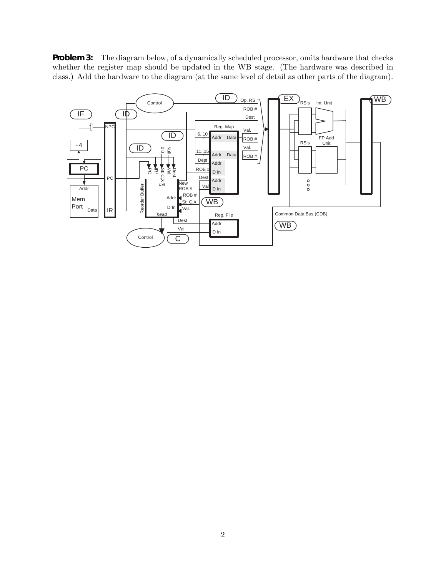**Problem 3:** The diagram below, of a dynamically scheduled processor, omits hardware that checks whether the register map should be updated in the WB stage. (The hardware was described in class.) Add the hardware to the diagram (at the same level of detail as other parts of the diagram).

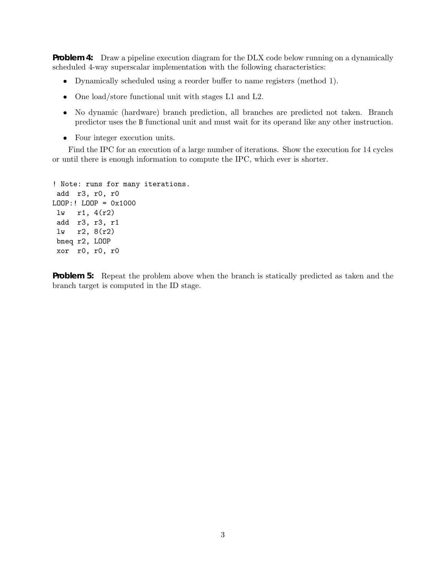**Problem 4:** Draw a pipeline execution diagram for the DLX code below running on a dynamically scheduled 4-way superscalar implementation with the following characteristics:

- Dynamically scheduled using a reorder buffer to name registers (method 1).
- One load/store functional unit with stages L1 and L2.
- No dynamic (hardware) branch prediction, all branches are predicted not taken. Branch predictor uses the B functional unit and must wait for its operand like any other instruction.
- Four integer execution units.

Find the IPC for an execution of a large number of iterations. Show the execution for 14 cycles or until there is enough information to compute the IPC, which ever is shorter.

```
! Note: runs for many iterations.
add r3, r0, r0
LOOP:! LOOP = 0x1000
 lw r1, 4(r2)
add r3, r3, r1
 lw r2, 8(r2)
 bneq r2, LOOP
 xor r0, r0, r0
```
**Problem 5:** Repeat the problem above when the branch is statically predicted as taken and the branch target is computed in the ID stage.